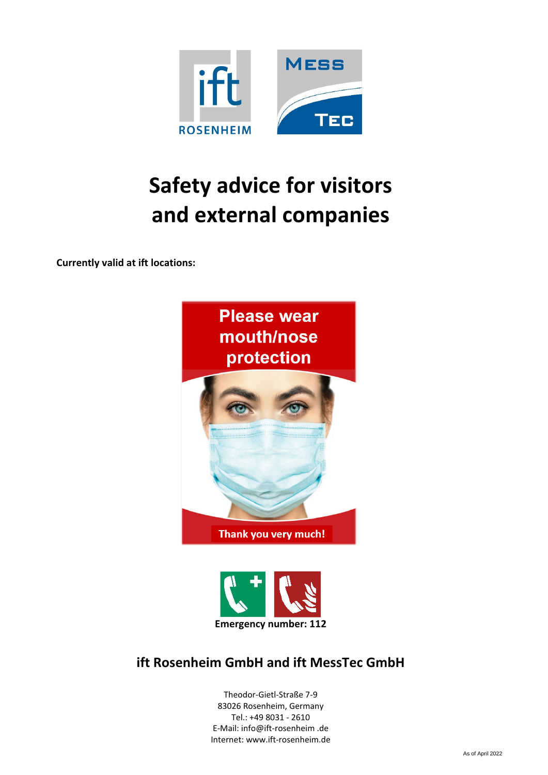

# Safety advice for visitors and external companies

Currently valid at ift locations:





# ift Rosenheim GmbH and ift MessTec GmbH

Theodor-Gietl-Straße 7-9 83026 Rosenheim, Germany Tel.: +49 8031 - 2610 E-Mail: info@ift-rosenheim .de Internet: www.ift-rosenheim.de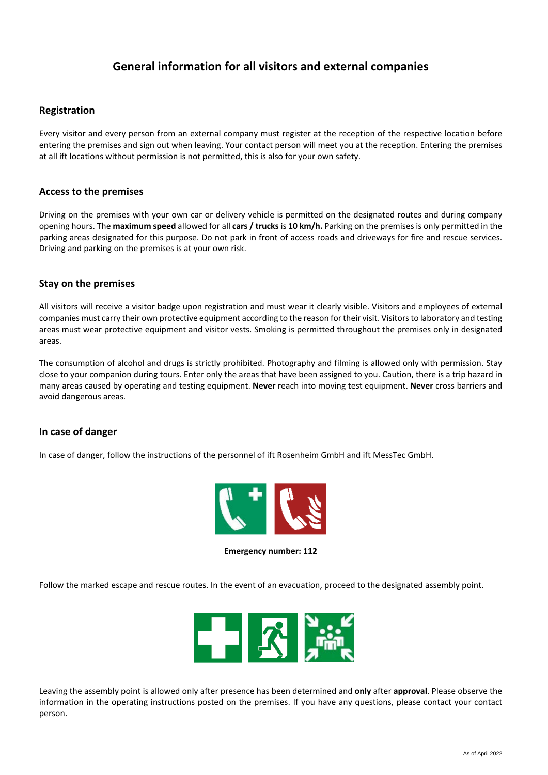## General information for all visitors and external companies

#### Registration

Every visitor and every person from an external company must register at the reception of the respective location before entering the premises and sign out when leaving. Your contact person will meet you at the reception. Entering the premises at all ift locations without permission is not permitted, this is also for your own safety.

#### Access to the premises

Driving on the premises with your own car or delivery vehicle is permitted on the designated routes and during company opening hours. The maximum speed allowed for all cars / trucks is 10 km/h. Parking on the premises is only permitted in the parking areas designated for this purpose. Do not park in front of access roads and driveways for fire and rescue services. Driving and parking on the premises is at your own risk.

#### Stay on the premises

All visitors will receive a visitor badge upon registration and must wear it clearly visible. Visitors and employees of external companies must carry their own protective equipment according to the reason for their visit. Visitors to laboratory and testing areas must wear protective equipment and visitor vests. Smoking is permitted throughout the premises only in designated areas.

The consumption of alcohol and drugs is strictly prohibited. Photography and filming is allowed only with permission. Stay close to your companion during tours. Enter only the areas that have been assigned to you. Caution, there is a trip hazard in many areas caused by operating and testing equipment. Never reach into moving test equipment. Never cross barriers and avoid dangerous areas.

#### In case of danger

In case of danger, follow the instructions of the personnel of ift Rosenheim GmbH and ift MessTec GmbH.



Emergency number: 112

Follow the marked escape and rescue routes. In the event of an evacuation, proceed to the designated assembly point.



Leaving the assembly point is allowed only after presence has been determined and only after approval. Please observe the information in the operating instructions posted on the premises. If you have any questions, please contact your contact person.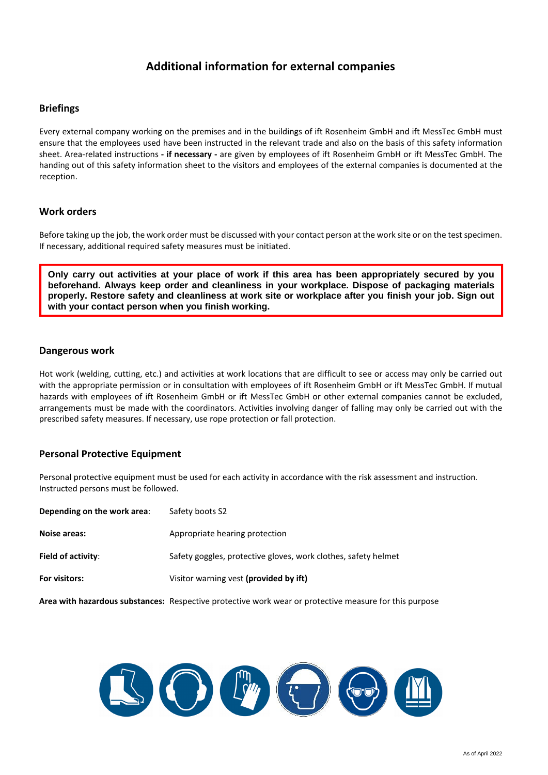## Additional information for external companies

#### **Briefings**

Every external company working on the premises and in the buildings of ift Rosenheim GmbH and ift MessTec GmbH must ensure that the employees used have been instructed in the relevant trade and also on the basis of this safety information sheet. Area-related instructions - if necessary - are given by employees of ift Rosenheim GmbH or ift MessTec GmbH. The handing out of this safety information sheet to the visitors and employees of the external companies is documented at the reception.

#### Work orders

Before taking up the job, the work order must be discussed with your contact person at the work site or on the test specimen. If necessary, additional required safety measures must be initiated.

**Only carry out activities at your place of work if this area has been appropriately secured by you beforehand. Always keep order and cleanliness in your workplace. Dispose of packaging materials properly. Restore safety and cleanliness at work site or workplace after you finish your job. Sign out with your contact person when you finish working.** 

#### Dangerous work

Hot work (welding, cutting, etc.) and activities at work locations that are difficult to see or access may only be carried out with the appropriate permission or in consultation with employees of ift Rosenheim GmbH or ift MessTec GmbH. If mutual hazards with employees of ift Rosenheim GmbH or ift MessTec GmbH or other external companies cannot be excluded, arrangements must be made with the coordinators. Activities involving danger of falling may only be carried out with the prescribed safety measures. If necessary, use rope protection or fall protection.

#### Personal Protective Equipment

Personal protective equipment must be used for each activity in accordance with the risk assessment and instruction. Instructed persons must be followed.

| Depending on the work area: | Safety boots S2                                                |
|-----------------------------|----------------------------------------------------------------|
| Noise areas:                | Appropriate hearing protection                                 |
| Field of activity:          | Safety goggles, protective gloves, work clothes, safety helmet |
| For visitors:               | Visitor warning vest (provided by ift)                         |
|                             |                                                                |

Area with hazardous substances: Respective protective work wear or protective measure for this purpose

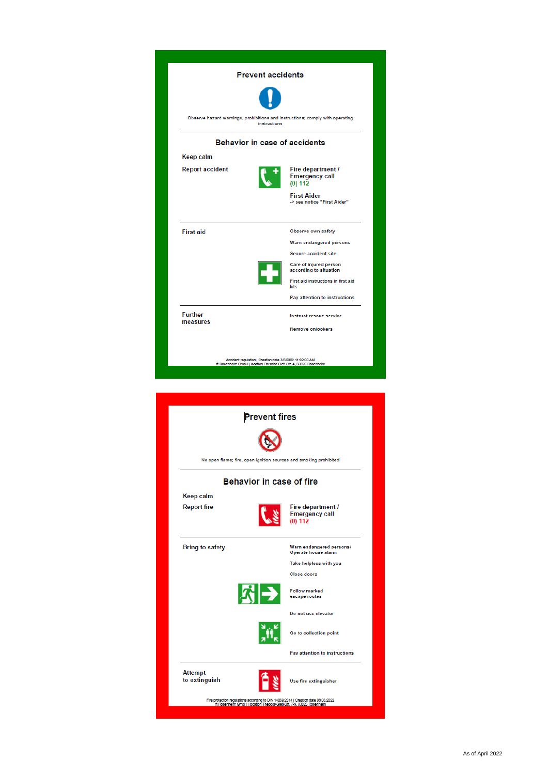

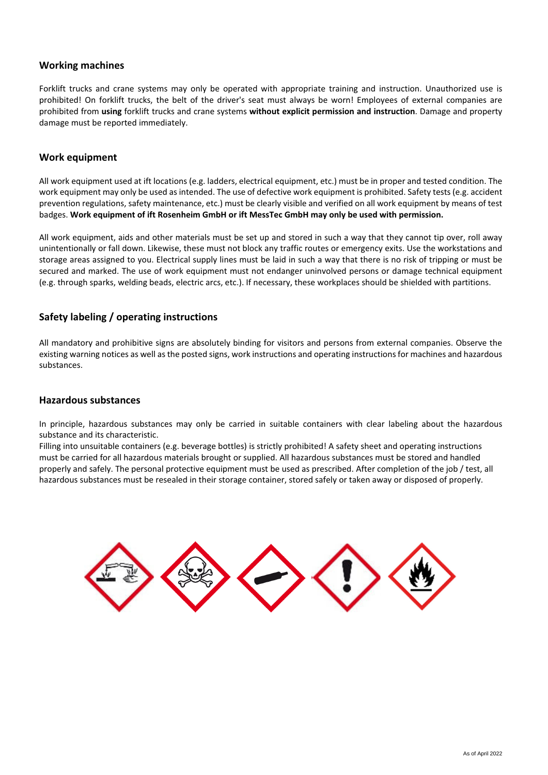#### Working machines

Forklift trucks and crane systems may only be operated with appropriate training and instruction. Unauthorized use is prohibited! On forklift trucks, the belt of the driver's seat must always be worn! Employees of external companies are prohibited from using forklift trucks and crane systems without explicit permission and instruction. Damage and property damage must be reported immediately.

#### Work equipment

All work equipment used at ift locations (e.g. ladders, electrical equipment, etc.) must be in proper and tested condition. The work equipment may only be used as intended. The use of defective work equipment is prohibited. Safety tests (e.g. accident prevention regulations, safety maintenance, etc.) must be clearly visible and verified on all work equipment by means of test badges. Work equipment of ift Rosenheim GmbH or ift MessTec GmbH may only be used with permission.

All work equipment, aids and other materials must be set up and stored in such a way that they cannot tip over, roll away unintentionally or fall down. Likewise, these must not block any traffic routes or emergency exits. Use the workstations and storage areas assigned to you. Electrical supply lines must be laid in such a way that there is no risk of tripping or must be secured and marked. The use of work equipment must not endanger uninvolved persons or damage technical equipment (e.g. through sparks, welding beads, electric arcs, etc.). If necessary, these workplaces should be shielded with partitions.

#### Safety labeling / operating instructions

All mandatory and prohibitive signs are absolutely binding for visitors and persons from external companies. Observe the existing warning notices as well as the posted signs, work instructions and operating instructions for machines and hazardous substances.

#### Hazardous substances

In principle, hazardous substances may only be carried in suitable containers with clear labeling about the hazardous substance and its characteristic.

Filling into unsuitable containers (e.g. beverage bottles) is strictly prohibited! A safety sheet and operating instructions must be carried for all hazardous materials brought or supplied. All hazardous substances must be stored and handled properly and safely. The personal protective equipment must be used as prescribed. After completion of the job / test, all hazardous substances must be resealed in their storage container, stored safely or taken away or disposed of properly.